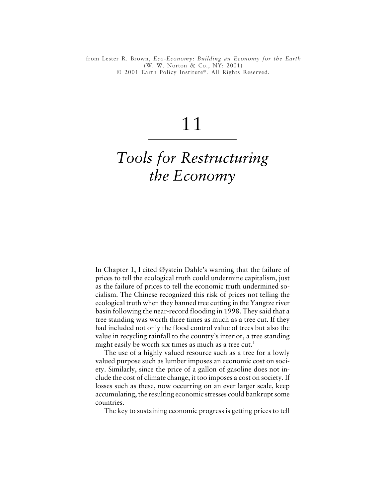*Tools for Restructuring the Economy 233* © 2001 Earth Policy Institute®. All Rights Reserved.from Lester R. Brown, *Eco-Economy: Building an Economy for the Earth* (W. W. Norton & Co., NY: 2001)

# 11

# *Tools for Restructuring the Economy*

In Chapter 1, I cited Øystein Dahle's warning that the failure of prices to tell the ecological truth could undermine capitalism, just as the failure of prices to tell the economic truth undermined socialism. The Chinese recognized this risk of prices not telling the ecological truth when they banned tree cutting in the Yangtze river basin following the near-record flooding in 1998. They said that a tree standing was worth three times as much as a tree cut. If they had included not only the flood control value of trees but also the value in recycling rainfall to the country's interior, a tree standing might easily be worth six times as much as a tree cut.<sup>1</sup>

The use of a highly valued resource such as a tree for a lowly valued purpose such as lumber imposes an economic cost on society. Similarly, since the price of a gallon of gasoline does not include the cost of climate change, it too imposes a cost on society. If losses such as these, now occurring on an ever larger scale, keep accumulating, the resulting economic stresses could bankrupt some countries.

The key to sustaining economic progress is getting prices to tell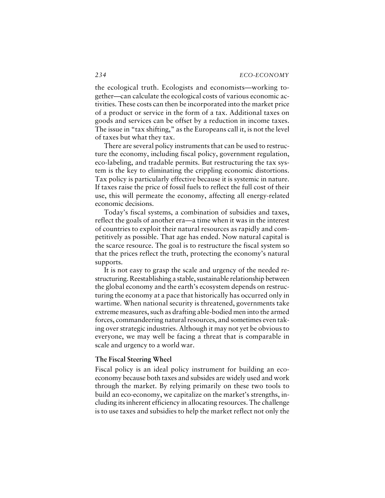the ecological truth. Ecologists and economists—working together—can calculate the ecological costs of various economic activities. These costs can then be incorporated into the market price of a product or service in the form of a tax. Additional taxes on goods and services can be offset by a reduction in income taxes. The issue in "tax shifting," as the Europeans call it, is not the level of taxes but what they tax.

There are several policy instruments that can be used to restructure the economy, including fiscal policy, government regulation, eco-labeling, and tradable permits. But restructuring the tax system is the key to eliminating the crippling economic distortions. Tax policy is particularly effective because it is systemic in nature. If taxes raise the price of fossil fuels to reflect the full cost of their use, this will permeate the economy, affecting all energy-related economic decisions.

Today's fiscal systems, a combination of subsidies and taxes, reflect the goals of another era—a time when it was in the interest of countries to exploit their natural resources as rapidly and competitively as possible. That age has ended. Now natural capital is the scarce resource. The goal is to restructure the fiscal system so that the prices reflect the truth, protecting the economy's natural supports.

It is not easy to grasp the scale and urgency of the needed restructuring. Reestablishing a stable, sustainable relationship between the global economy and the earth's ecosystem depends on restructuring the economy at a pace that historically has occurred only in wartime. When national security is threatened, governments take extreme measures, such as drafting able-bodied men into the armed forces, commandeering natural resources, and sometimes even taking over strategic industries. Although it may not yet be obvious to everyone, we may well be facing a threat that is comparable in scale and urgency to a world war.

# **The Fiscal Steering Wheel**

Fiscal policy is an ideal policy instrument for building an ecoeconomy because both taxes and subsides are widely used and work through the market. By relying primarily on these two tools to build an eco-economy, we capitalize on the market's strengths, including its inherent efficiency in allocating resources. The challenge is to use taxes and subsidies to help the market reflect not only the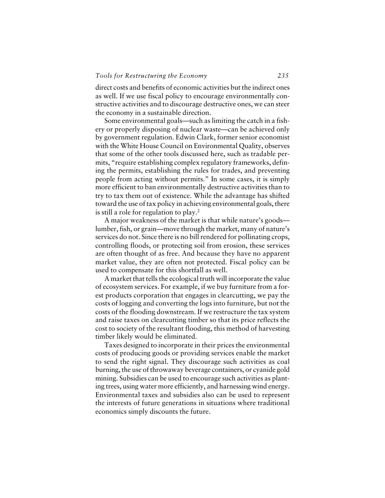direct costs and benefits of economic activities but the indirect ones as well. If we use fiscal policy to encourage environmentally constructive activities and to discourage destructive ones, we can steer the economy in a sustainable direction.

Some environmental goals—such as limiting the catch in a fishery or properly disposing of nuclear waste—can be achieved only by government regulation. Edwin Clark, former senior economist with the White House Council on Environmental Quality, observes that some of the other tools discussed here, such as tradable permits, "require establishing complex regulatory frameworks, defining the permits, establishing the rules for trades, and preventing people from acting without permits." In some cases, it is simply more efficient to ban environmentally destructive activities than to try to tax them out of existence. While the advantage has shifted toward the use of tax policy in achieving environmental goals, there is still a role for regulation to play.<sup>2</sup>

A major weakness of the market is that while nature's goods lumber, fish, or grain—move through the market, many of nature's services do not. Since there is no bill rendered for pollinating crops, controlling floods, or protecting soil from erosion, these services are often thought of as free. And because they have no apparent market value, they are often not protected. Fiscal policy can be used to compensate for this shortfall as well.

A market that tells the ecological truth will incorporate the value of ecosystem services. For example, if we buy furniture from a forest products corporation that engages in clearcutting, we pay the costs of logging and converting the logs into furniture, but not the costs of the flooding downstream. If we restructure the tax system and raise taxes on clearcutting timber so that its price reflects the cost to society of the resultant flooding, this method of harvesting timber likely would be eliminated.

Taxes designed to incorporate in their prices the environmental costs of producing goods or providing services enable the market to send the right signal. They discourage such activities as coal burning, the use of throwaway beverage containers, or cyanide gold mining. Subsidies can be used to encourage such activities as planting trees, using water more efficiently, and harnessing wind energy. Environmental taxes and subsidies also can be used to represent the interests of future generations in situations where traditional economics simply discounts the future.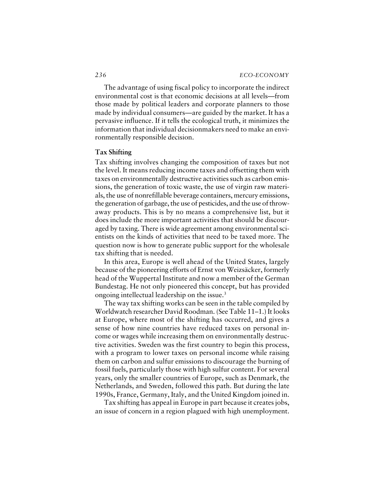The advantage of using fiscal policy to incorporate the indirect environmental cost is that economic decisions at all levels—from those made by political leaders and corporate planners to those made by individual consumers—are guided by the market. It has a pervasive influence. If it tells the ecological truth, it minimizes the information that individual decisionmakers need to make an environmentally responsible decision.

### **Tax Shifting**

Tax shifting involves changing the composition of taxes but not the level. It means reducing income taxes and offsetting them with taxes on environmentally destructive activities such as carbon emissions, the generation of toxic waste, the use of virgin raw materials, the use of nonrefillable beverage containers, mercury emissions, the generation of garbage, the use of pesticides, and the use of throwaway products. This is by no means a comprehensive list, but it does include the more important activities that should be discouraged by taxing. There is wide agreement among environmental scientists on the kinds of activities that need to be taxed more. The question now is how to generate public support for the wholesale tax shifting that is needed.

In this area, Europe is well ahead of the United States, largely because of the pioneering efforts of Ernst von Weizsäcker, formerly head of the Wuppertal Institute and now a member of the German Bundestag. He not only pioneered this concept, but has provided ongoing intellectual leadership on the issue.<sup>3</sup>

The way tax shifting works can be seen in the table compiled by Worldwatch researcher David Roodman. (See Table 11–1.) It looks at Europe, where most of the shifting has occurred, and gives a sense of how nine countries have reduced taxes on personal income or wages while increasing them on environmentally destructive activities. Sweden was the first country to begin this process, with a program to lower taxes on personal income while raising them on carbon and sulfur emissions to discourage the burning of fossil fuels, particularly those with high sulfur content. For several years, only the smaller countries of Europe, such as Denmark, the Netherlands, and Sweden, followed this path. But during the late 1990s, France, Germany, Italy, and the United Kingdom joined in.

Tax shifting has appeal in Europe in part because it creates jobs, an issue of concern in a region plagued with high unemployment.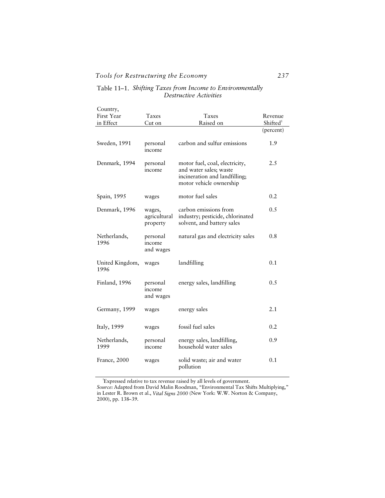# Table 11–1. *Shifting Taxes from Income to Environmentally Destructive Activities*

| Country,                |                                    |                                                                                                                      |                      |
|-------------------------|------------------------------------|----------------------------------------------------------------------------------------------------------------------|----------------------|
| First Year              | Taxes                              | Taxes                                                                                                                | Revenue              |
| in Effect               | Cut on                             | Raised on                                                                                                            | Shifted <sup>1</sup> |
| Sweden, 1991            | personal<br>income                 | carbon and sulfur emissions                                                                                          | (percent)<br>1.9     |
| Denmark, 1994           | personal<br>income                 | motor fuel, coal, electricity,<br>and water sales; waste<br>incineration and landfilling;<br>motor vehicle ownership | 2.5                  |
| Spain, 1995             | wages                              | motor fuel sales                                                                                                     | 0.2                  |
| Denmark, 1996           | wages,<br>agricultural<br>property | carbon emissions from<br>industry; pesticide, chlorinated<br>solvent, and battery sales                              | 0.5                  |
| Netherlands,<br>1996    | personal<br>income<br>and wages    | natural gas and electricity sales                                                                                    | 0.8                  |
| United Kingdom,<br>1996 | wages                              | landfilling                                                                                                          | 0.1                  |
| Finland, 1996           | personal<br>income<br>and wages    | energy sales, landfilling                                                                                            | 0.5                  |
| Germany, 1999           | wages                              | energy sales                                                                                                         | 2.1                  |
| Italy, 1999             | wages                              | fossil fuel sales                                                                                                    | 0.2                  |
| Netherlands,<br>1999    | personal<br>income                 | energy sales, landfilling,<br>household water sales                                                                  | 0.9                  |
| France, 2000            | wages                              | solid waste; air and water<br>pollution                                                                              | 0.1                  |

<sup>1</sup>Expressed relative to tax revenue raised by all levels of government.

*Source:* Adapted from David Malin Roodman, "Environmental Tax Shifts Multiplying," in Lester R. Brown et al., *Vital Signs 2000* (New York: W.W. Norton & Company, 2000), pp. 138–39.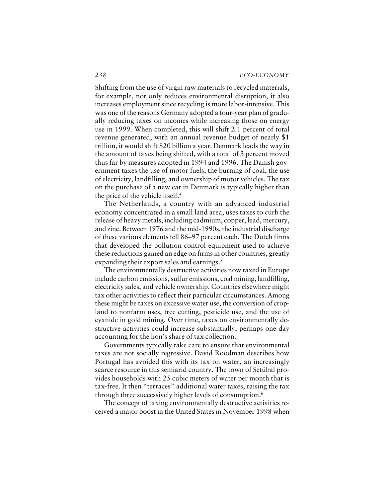Shifting from the use of virgin raw materials to recycled materials, for example, not only reduces environmental disruption, it also increases employment since recycling is more labor-intensive. This was one of the reasons Germany adopted a four-year plan of gradually reducing taxes on incomes while increasing those on energy use in 1999. When completed, this will shift 2.1 percent of total revenue generated; with an annual revenue budget of nearly \$1 trillion, it would shift \$20 billion a year. Denmark leads the way in the amount of taxes being shifted, with a total of 3 percent moved thus far by measures adopted in 1994 and 1996. The Danish government taxes the use of motor fuels, the burning of coal, the use of electricity, landfilling, and ownership of motor vehicles. The tax on the purchase of a new car in Denmark is typically higher than the price of the vehicle itself.<sup>4</sup>

The Netherlands, a country with an advanced industrial economy concentrated in a small land area, uses taxes to curb the release of heavy metals, including cadmium, copper, lead, mercury, and zinc. Between 1976 and the mid-1990s, the industrial discharge of these various elements fell 86–97 percent each. The Dutch firms that developed the pollution control equipment used to achieve these reductions gained an edge on firms in other countries, greatly expanding their export sales and earnings.<sup>5</sup>

The environmentally destructive activities now taxed in Europe include carbon emissions, sulfur emissions, coal mining, landfilling, electricity sales, and vehicle ownership. Countries elsewhere might tax other activities to reflect their particular circumstances. Among these might be taxes on excessive water use, the conversion of cropland to nonfarm uses, tree cutting, pesticide use, and the use of cyanide in gold mining. Over time, taxes on environmentally destructive activities could increase substantially, perhaps one day accounting for the lion's share of tax collection.

Governments typically take care to ensure that environmental taxes are not socially regressive. David Roodman describes how Portugal has avoided this with its tax on water, an increasingly scarce resource in this semiarid country. The town of Setúbal provides households with 25 cubic meters of water per month that is tax-free. It then "terraces" additional water taxes, raising the tax through three successively higher levels of consumption.<sup>6</sup>

The concept of taxing environmentally destructive activities received a major boost in the United States in November 1998 when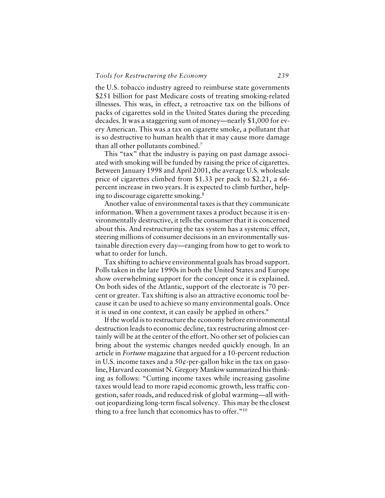the U.S. tobacco industry agreed to reimburse state governments \$251 billion for past Medicare costs of treating smoking-related illnesses. This was, in effect, a retroactive tax on the billions of packs of cigarettes sold in the United States during the preceding decades. It was a staggering sum of money—nearly \$1,000 for every American. This was a tax on cigarette smoke, a pollutant that is so destructive to human health that it may cause more damage than all other pollutants combined.<sup>7</sup>

This "tax" that the industry is paying on past damage associated with smoking will be funded by raising the price of cigarettes. Between January 1998 and April 2001, the average U.S. wholesale price of cigarettes climbed from \$1.33 per pack to \$2.21, a 66 percent increase in two years. It is expected to climb further, helping to discourage cigarette smoking.<sup>8</sup>

Another value of environmental taxes is that they communicate information. When a government taxes a product because it is environmentally destructive, it tells the consumer that it is concerned about this. And restructuring the tax system has a systemic effect, steering millions of consumer decisions in an environmentally sustainable direction every day—ranging from how to get to work to what to order for lunch.

Tax shifting to achieve environmental goals has broad support. Polls taken in the late 1990s in both the United States and Europe show overwhelming support for the concept once it is explained. On both sides of the Atlantic, support of the electorate is 70 percent or greater. Tax shifting is also an attractive economic tool because it can be used to achieve so many environmental goals. Once it is used in one context, it can easily be applied in others.<sup>9</sup>

If the world is to restructure the economy before environmental destruction leads to economic decline, tax restructuring almost certainly will be at the center of the effort. No other set of policies can bring about the systemic changes needed quickly enough. In an article in *Fortune* magazine that argued for a 10-percent reduction in U.S. income taxes and a  $50¢$ -per-gallon hike in the tax on gasoline, Harvard economist N. Gregory Mankiw summarized his thinking as follows: "Cutting income taxes while increasing gasoline taxes would lead to more rapid economic growth, less traffic congestion, safer roads, and reduced risk of global warming—all without jeopardizing long-term fiscal solvency. This may be the closest thing to a free lunch that economics has to offer."<sup>10</sup>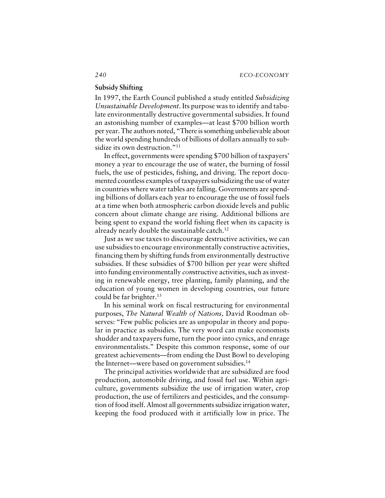## **Subsidy Shifting**

In 1997, the Earth Council published a study entitled *Subsidizing Unsustainable Development*. Its purpose was to identify and tabulate environmentally destructive governmental subsidies. It found an astonishing number of examples—at least \$700 billion worth per year. The authors noted, "There is something unbelievable about the world spending hundreds of billions of dollars annually to subsidize its own destruction."<sup>11</sup>

In effect, governments were spending \$700 billion of taxpayers' money a year to encourage the use of water, the burning of fossil fuels, the use of pesticides, fishing, and driving. The report documented countless examples of taxpayers subsidizing the use of water in countries where water tables are falling. Governments are spending billions of dollars each year to encourage the use of fossil fuels at a time when both atmospheric carbon dioxide levels and public concern about climate change are rising. Additional billions are being spent to expand the world fishing fleet when its capacity is already nearly double the sustainable catch.<sup>12</sup>

Just as we use taxes to discourage destructive activities, we can use subsidies to encourage environmentally constructive activities, financing them by shifting funds from environmentally destructive subsidies. If these subsidies of \$700 billion per year were shifted into funding environmentally *con*structive activities, such as investing in renewable energy, tree planting, family planning, and the education of young women in developing countries, our future could be far brighter.<sup>13</sup>

In his seminal work on fiscal restructuring for environmental purposes, *The Natural Wealth of Nations,* David Roodman observes: "Few public policies are as unpopular in theory and popular in practice as subsidies. The very word can make economists shudder and taxpayers fume, turn the poor into cynics, and enrage environmentalists." Despite this common response, some of our greatest achievements—from ending the Dust Bowl to developing the Internet—were based on government subsidies.<sup>14</sup>

The principal activities worldwide that are subsidized are food production, automobile driving, and fossil fuel use. Within agriculture, governments subsidize the use of irrigation water, crop production, the use of fertilizers and pesticides, and the consumption of food itself. Almost all governments subsidize irrigation water, keeping the food produced with it artificially low in price. The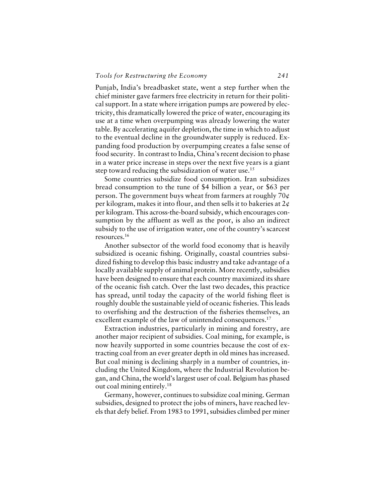Punjab, India's breadbasket state, went a step further when the chief minister gave farmers free electricity in return for their political support. In a state where irrigation pumps are powered by electricity, this dramatically lowered the price of water, encouraging its use at a time when overpumping was already lowering the water table. By accelerating aquifer depletion, the time in which to adjust to the eventual decline in the groundwater supply is reduced. Expanding food production by overpumping creates a false sense of food security. In contrast to India, China's recent decision to phase in a water price increase in steps over the next five years is a giant step toward reducing the subsidization of water use.<sup>15</sup>

Some countries subsidize food consumption. Iran subsidizes bread consumption to the tune of \$4 billion a year, or \$63 per person. The government buys wheat from farmers at roughly  $70¢$ per kilogram, makes it into flour, and then sells it to bakeries at  $2\phi$ per kilogram. This across-the-board subsidy, which encourages consumption by the affluent as well as the poor, is also an indirect subsidy to the use of irrigation water, one of the country's scarcest resources.<sup>16</sup>

Another subsector of the world food economy that is heavily subsidized is oceanic fishing. Originally, coastal countries subsidized fishing to develop this basic industry and take advantage of a locally available supply of animal protein. More recently, subsidies have been designed to ensure that each country maximized its share of the oceanic fish catch. Over the last two decades, this practice has spread, until today the capacity of the world fishing fleet is roughly double the sustainable yield of oceanic fisheries. This leads to overfishing and the destruction of the fisheries themselves, an excellent example of the law of unintended consequences.<sup>17</sup>

Extraction industries, particularly in mining and forestry, are another major recipient of subsidies. Coal mining, for example, is now heavily supported in some countries because the cost of extracting coal from an ever greater depth in old mines has increased. But coal mining is declining sharply in a number of countries, including the United Kingdom, where the Industrial Revolution began, and China, the world's largest user of coal. Belgium has phased out coal mining entirely.<sup>18</sup>

Germany, however, continues to subsidize coal mining. German subsidies, designed to protect the jobs of miners, have reached levels that defy belief. From 1983 to 1991, subsidies climbed per miner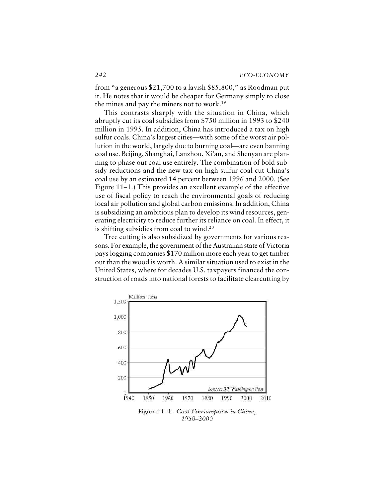from "a generous \$21,700 to a lavish \$85,800," as Roodman put it. He notes that it would be cheaper for Germany simply to close the mines and pay the miners not to work.<sup>19</sup>

This contrasts sharply with the situation in China, which abruptly cut its coal subsidies from \$750 million in 1993 to \$240 million in 1995. In addition, China has introduced a tax on high sulfur coals. China's largest cities—with some of the worst air pollution in the world, largely due to burning coal—are even banning coal use. Beijing, Shanghai, Lanzhou, Xi'an, and Shenyan are planning to phase out coal use entirely. The combination of bold subsidy reductions and the new tax on high sulfur coal cut China's coal use by an estimated 14 percent between 1996 and 2000. (See Figure 11–1.) This provides an excellent example of the effective use of fiscal policy to reach the environmental goals of reducing local air pollution and global carbon emissions. In addition, China is subsidizing an ambitious plan to develop its wind resources, generating electricity to reduce further its reliance on coal. In effect, it is shifting subsidies from coal to wind.<sup>20</sup>

Tree cutting is also subsidized by governments for various reasons. For example, the government of the Australian state of Victoria pays logging companies \$170 million more each year to get timber out than the wood is worth. A similar situation used to exist in the United States, where for decades U.S. taxpayers financed the construction of roads into national forests to facilitate clearcutting by

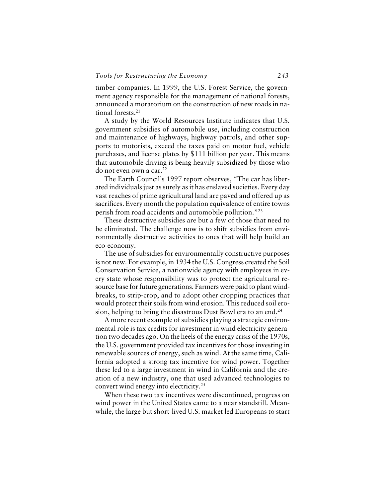timber companies. In 1999, the U.S. Forest Service, the government agency responsible for the management of national forests, announced a moratorium on the construction of new roads in national forests.<sup>21</sup>

A study by the World Resources Institute indicates that U.S. government subsidies of automobile use, including construction and maintenance of highways, highway patrols, and other supports to motorists, exceed the taxes paid on motor fuel, vehicle purchases, and license plates by \$111 billion per year. This means that automobile driving is being heavily subsidized by those who do not even own a car.<sup>22</sup>

The Earth Council's 1997 report observes, "The car has liberated individuals just as surely as it has enslaved societies. Every day vast reaches of prime agricultural land are paved and offered up as sacrifices. Every month the population equivalence of entire towns perish from road accidents and automobile pollution."<sup>23</sup>

These destructive subsidies are but a few of those that need to be eliminated. The challenge now is to shift subsidies from environmentally destructive activities to ones that will help build an eco-economy.

The use of subsidies for environmentally constructive purposes is not new. For example, in 1934 the U.S. Congress created the Soil Conservation Service, a nationwide agency with employees in every state whose responsibility was to protect the agricultural resource base for future generations. Farmers were paid to plant windbreaks, to strip-crop, and to adopt other cropping practices that would protect their soils from wind erosion. This reduced soil erosion, helping to bring the disastrous Dust Bowl era to an end.<sup>24</sup>

A more recent example of subsidies playing a strategic environmental role is tax credits for investment in wind electricity generation two decades ago. On the heels of the energy crisis of the 1970s, the U.S. government provided tax incentives for those investing in renewable sources of energy, such as wind. At the same time, California adopted a strong tax incentive for wind power. Together these led to a large investment in wind in California and the creation of a new industry, one that used advanced technologies to convert wind energy into electricity.<sup>25</sup>

When these two tax incentives were discontinued, progress on wind power in the United States came to a near standstill. Meanwhile, the large but short-lived U.S. market led Europeans to start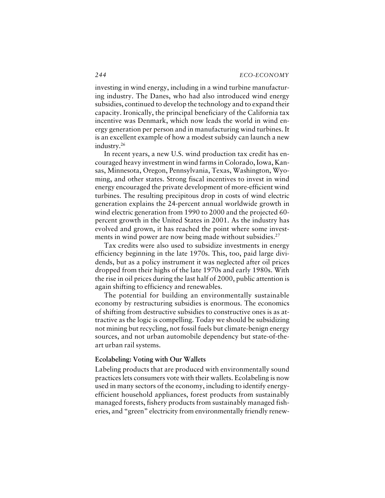investing in wind energy, including in a wind turbine manufacturing industry. The Danes, who had also introduced wind energy subsidies, continued to develop the technology and to expand their capacity. Ironically, the principal beneficiary of the California tax incentive was Denmark, which now leads the world in wind energy generation per person and in manufacturing wind turbines. It is an excellent example of how a modest subsidy can launch a new industry.<sup>26</sup>

In recent years, a new U.S. wind production tax credit has encouraged heavy investment in wind farms in Colorado, Iowa, Kansas, Minnesota, Oregon, Pennsylvania, Texas, Washington, Wyoming, and other states. Strong fiscal incentives to invest in wind energy encouraged the private development of more-efficient wind turbines. The resulting precipitous drop in costs of wind electric generation explains the 24-percent annual worldwide growth in wind electric generation from 1990 to 2000 and the projected 60 percent growth in the United States in 2001. As the industry has evolved and grown, it has reached the point where some investments in wind power are now being made without subsidies.<sup>27</sup>

Tax credits were also used to subsidize investments in energy efficiency beginning in the late 1970s. This, too, paid large dividends, but as a policy instrument it was neglected after oil prices dropped from their highs of the late 1970s and early 1980s. With the rise in oil prices during the last half of 2000, public attention is again shifting to efficiency and renewables.

The potential for building an environmentally sustainable economy by restructuring subsidies is enormous. The economics of shifting from destructive subsidies to constructive ones is as attractive as the logic is compelling. Today we should be subsidizing not mining but recycling, not fossil fuels but climate-benign energy sources, and not urban automobile dependency but state-of-theart urban rail systems.

# **Ecolabeling: Voting with Our Wallets**

Labeling products that are produced with environmentally sound practices lets consumers vote with their wallets. Ecolabeling is now used in many sectors of the economy, including to identify energyefficient household appliances, forest products from sustainably managed forests, fishery products from sustainably managed fisheries, and "green" electricity from environmentally friendly renew-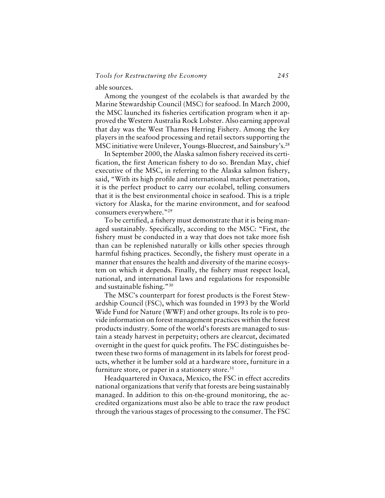#### able sources.

Among the youngest of the ecolabels is that awarded by the Marine Stewardship Council (MSC) for seafood. In March 2000, the MSC launched its fisheries certification program when it approved the Western Australia Rock Lobster. Also earning approval that day was the West Thames Herring Fishery. Among the key players in the seafood processing and retail sectors supporting the MSC initiative were Unilever, Youngs-Bluecrest, and Sainsbury's.<sup>28</sup>

In September 2000, the Alaska salmon fishery received its certification, the first American fishery to do so. Brendan May, chief executive of the MSC, in referring to the Alaska salmon fishery, said, "With its high profile and international market penetration, it is the perfect product to carry our ecolabel, telling consumers that it is the best environmental choice in seafood. This is a triple victory for Alaska, for the marine environment, and for seafood consumers everywhere."<sup>29</sup>

To be certified, a fishery must demonstrate that it is being managed sustainably. Specifically, according to the MSC: "First, the fishery must be conducted in a way that does not take more fish than can be replenished naturally or kills other species through harmful fishing practices. Secondly, the fishery must operate in a manner that ensures the health and diversity of the marine ecosystem on which it depends. Finally, the fishery must respect local, national, and international laws and regulations for responsible and sustainable fishing."<sup>30</sup>

The MSC's counterpart for forest products is the Forest Stewardship Council (FSC), which was founded in 1993 by the World Wide Fund for Nature (WWF) and other groups. Its role is to provide information on forest management practices within the forest products industry. Some of the world's forests are managed to sustain a steady harvest in perpetuity; others are clearcut, decimated overnight in the quest for quick profits. The FSC distinguishes between these two forms of management in its labels for forest products, whether it be lumber sold at a hardware store, furniture in a furniture store, or paper in a stationery store. $31$ 

Headquartered in Oaxaca, Mexico, the FSC in effect accredits national organizations that verify that forests are being sustainably managed. In addition to this on-the-ground monitoring, the accredited organizations must also be able to trace the raw product through the various stages of processing to the consumer. The FSC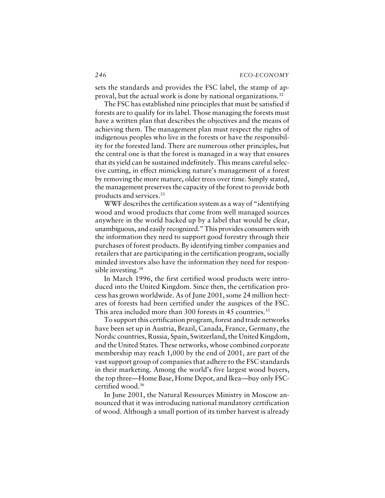sets the standards and provides the FSC label, the stamp of approval, but the actual work is done by national organizations.<sup>32</sup>

The FSC has established nine principles that must be satisfied if forests are to qualify for its label. Those managing the forests must have a written plan that describes the objectives and the means of achieving them. The management plan must respect the rights of indigenous peoples who live in the forests or have the responsibility for the forested land. There are numerous other principles, but the central one is that the forest is managed in a way that ensures that its yield can be sustained indefinitely. This means careful selective cutting, in effect mimicking nature's management of a forest by removing the more mature, older trees over time. Simply stated, the management preserves the capacity of the forest to provide both products and services.<sup>33</sup>

WWF describes the certification system as a way of "identifying wood and wood products that come from well managed sources anywhere in the world backed up by a label that would be clear, unambiguous, and easily recognized." This provides consumers with the information they need to support good forestry through their purchases of forest products. By identifying timber companies and retailers that are participating in the certification program, socially minded investors also have the information they need for responsible investing.<sup>34</sup>

In March 1996, the first certified wood products were introduced into the United Kingdom. Since then, the certification process has grown worldwide. As of June 2001, some 24 million hectares of forests had been certified under the auspices of the FSC. This area included more than 300 forests in 45 countries.<sup>35</sup>

To support this certification program, forest and trade networks have been set up in Austria, Brazil, Canada, France, Germany, the Nordic countries, Russia, Spain, Switzerland, the United Kingdom, and the United States. These networks, whose combined corporate membership may reach 1,000 by the end of 2001, are part of the vast support group of companies that adhere to the FSC standards in their marketing. Among the world's five largest wood buyers, the top three—Home Base, Home Depot, and Ikea—buy only FSCcertified wood.<sup>36</sup>

In June 2001, the Natural Resources Ministry in Moscow announced that it was introducing national mandatory certification of wood. Although a small portion of its timber harvest is already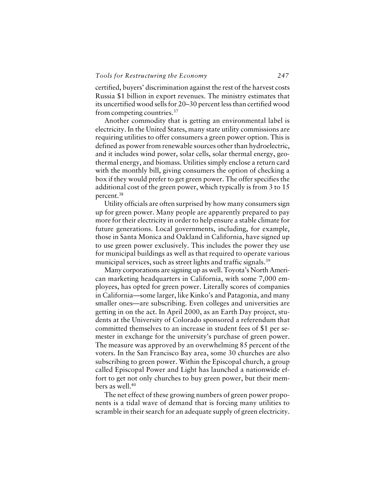certified, buyers' discrimination against the rest of the harvest costs Russia \$1 billion in export revenues. The ministry estimates that its uncertified wood sells for 20–30 percent less than certified wood from competing countries.<sup>37</sup>

Another commodity that is getting an environmental label is electricity. In the United States, many state utility commissions are requiring utilities to offer consumers a green power option. This is defined as power from renewable sources other than hydroelectric, and it includes wind power, solar cells, solar thermal energy, geothermal energy, and biomass. Utilities simply enclose a return card with the monthly bill, giving consumers the option of checking a box if they would prefer to get green power. The offer specifies the additional cost of the green power, which typically is from 3 to 15 percent.<sup>38</sup>

Utility officials are often surprised by how many consumers sign up for green power. Many people are apparently prepared to pay more for their electricity in order to help ensure a stable climate for future generations. Local governments, including, for example, those in Santa Monica and Oakland in California, have signed up to use green power exclusively. This includes the power they use for municipal buildings as well as that required to operate various municipal services, such as street lights and traffic signals.<sup>39</sup>

Many corporations are signing up as well. Toyota's North American marketing headquarters in California, with some 7,000 employees, has opted for green power. Literally scores of companies in California—some larger, like Kinko's and Patagonia, and many smaller ones—are subscribing. Even colleges and universities are getting in on the act. In April 2000, as an Earth Day project, students at the University of Colorado sponsored a referendum that committed themselves to an increase in student fees of \$1 per semester in exchange for the university's purchase of green power. The measure was approved by an overwhelming 85 percent of the voters. In the San Francisco Bay area, some 30 churches are also subscribing to green power. Within the Episcopal church, a group called Episcopal Power and Light has launched a nationwide effort to get not only churches to buy green power, but their members as well.<sup>40</sup>

The net effect of these growing numbers of green power proponents is a tidal wave of demand that is forcing many utilities to scramble in their search for an adequate supply of green electricity.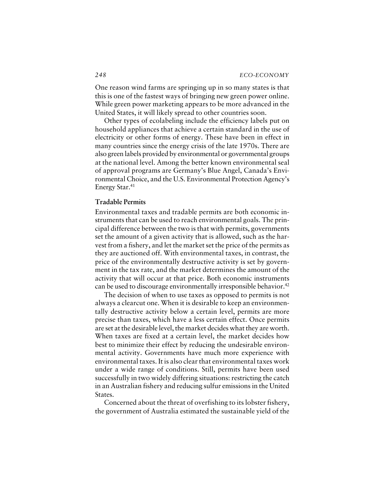One reason wind farms are springing up in so many states is that this is one of the fastest ways of bringing new green power online. While green power marketing appears to be more advanced in the United States, it will likely spread to other countries soon.

Other types of ecolabeling include the efficiency labels put on household appliances that achieve a certain standard in the use of electricity or other forms of energy. These have been in effect in many countries since the energy crisis of the late 1970s. There are also green labels provided by environmental or governmental groups at the national level. Among the better known environmental seal of approval programs are Germany's Blue Angel, Canada's Environmental Choice, and the U.S. Environmental Protection Agency's Energy Star.<sup>41</sup>

### **Tradable Permits**

Environmental taxes and tradable permits are both economic instruments that can be used to reach environmental goals. The principal difference between the two is that with permits, governments set the amount of a given activity that is allowed, such as the harvest from a fishery, and let the market set the price of the permits as they are auctioned off. With environmental taxes, in contrast, the price of the environmentally destructive activity is set by government in the tax rate, and the market determines the amount of the activity that will occur at that price. Both economic instruments can be used to discourage environmentally irresponsible behavior.<sup>42</sup>

The decision of when to use taxes as opposed to permits is not always a clearcut one. When it is desirable to keep an environmentally destructive activity below a certain level, permits are more precise than taxes, which have a less certain effect. Once permits are set at the desirable level, the market decides what they are worth. When taxes are fixed at a certain level, the market decides how best to minimize their effect by reducing the undesirable environmental activity. Governments have much more experience with environmental taxes. It is also clear that environmental taxes work under a wide range of conditions. Still, permits have been used successfully in two widely differing situations: restricting the catch in an Australian fishery and reducing sulfur emissions in the United States.

Concerned about the threat of overfishing to its lobster fishery, the government of Australia estimated the sustainable yield of the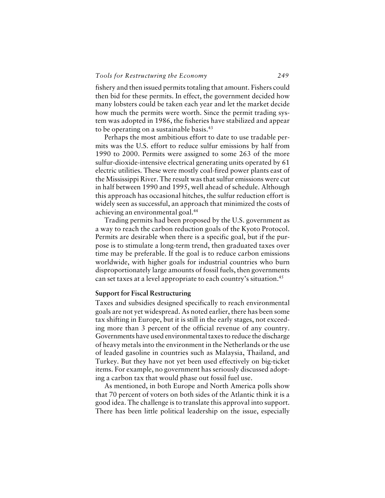fishery and then issued permits totaling that amount. Fishers could then bid for these permits. In effect, the government decided how many lobsters could be taken each year and let the market decide how much the permits were worth. Since the permit trading system was adopted in 1986, the fisheries have stabilized and appear to be operating on a sustainable basis.<sup>43</sup>

Perhaps the most ambitious effort to date to use tradable permits was the U.S. effort to reduce sulfur emissions by half from 1990 to 2000. Permits were assigned to some 263 of the more sulfur-dioxide-intensive electrical generating units operated by 61 electric utilities. These were mostly coal-fired power plants east of the Mississippi River. The result was that sulfur emissions were cut in half between 1990 and 1995, well ahead of schedule. Although this approach has occasional hitches, the sulfur reduction effort is widely seen as successful, an approach that minimized the costs of achieving an environmental goal.<sup>44</sup>

Trading permits had been proposed by the U.S. government as a way to reach the carbon reduction goals of the Kyoto Protocol. Permits are desirable when there is a specific goal, but if the purpose is to stimulate a long-term trend, then graduated taxes over time may be preferable. If the goal is to reduce carbon emissions worldwide, with higher goals for industrial countries who burn disproportionately large amounts of fossil fuels, then governments can set taxes at a level appropriate to each country's situation.<sup>45</sup>

# **Support for Fiscal Restructuring**

Taxes and subsidies designed specifically to reach environmental goals are not yet widespread. As noted earlier, there has been some tax shifting in Europe, but it is still in the early stages, not exceeding more than 3 percent of the official revenue of any country. Governments have used environmental taxes to reduce the discharge of heavy metals into the environment in the Netherlands or the use of leaded gasoline in countries such as Malaysia, Thailand, and Turkey. But they have not yet been used effectively on big-ticket items. For example, no government has seriously discussed adopting a carbon tax that would phase out fossil fuel use.

As mentioned, in both Europe and North America polls show that 70 percent of voters on both sides of the Atlantic think it is a good idea. The challenge is to translate this approval into support. There has been little political leadership on the issue, especially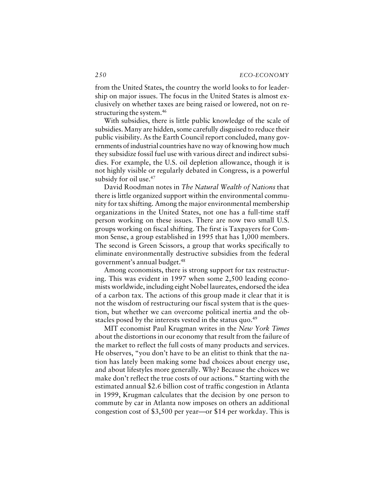from the United States, the country the world looks to for leadership on major issues. The focus in the United States is almost exclusively on whether taxes are being raised or lowered, not on restructuring the system.<sup>46</sup>

With subsidies, there is little public knowledge of the scale of subsidies. Many are hidden, some carefully disguised to reduce their public visibility. As the Earth Council report concluded, many governments of industrial countries have no way of knowing how much they subsidize fossil fuel use with various direct and indirect subsidies. For example, the U.S. oil depletion allowance, though it is not highly visible or regularly debated in Congress, is a powerful subsidy for oil use.<sup>47</sup>

David Roodman notes in *The Natural Wealth of Nations* that there is little organized support within the environmental community for tax shifting. Among the major environmental membership organizations in the United States, not one has a full-time staff person working on these issues. There are now two small U.S. groups working on fiscal shifting. The first is Taxpayers for Common Sense, a group established in 1995 that has 1,000 members. The second is Green Scissors, a group that works specifically to eliminate environmentally destructive subsidies from the federal government's annual budget.<sup>48</sup>

Among economists, there is strong support for tax restructuring. This was evident in 1997 when some 2,500 leading economists worldwide, including eight Nobel laureates, endorsed the idea of a carbon tax. The actions of this group made it clear that it is not the wisdom of restructuring our fiscal system that is the question, but whether we can overcome political inertia and the obstacles posed by the interests vested in the status quo.<sup>49</sup>

MIT economist Paul Krugman writes in the *New York Times* about the distortions in our economy that result from the failure of the market to reflect the full costs of many products and services. He observes, "you don't have to be an elitist to think that the nation has lately been making some bad choices about energy use, and about lifestyles more generally. Why? Because the choices we make don't reflect the true costs of our actions." Starting with the estimated annual \$2.6 billion cost of traffic congestion in Atlanta in 1999, Krugman calculates that the decision by one person to commute by car in Atlanta now imposes on others an additional congestion cost of \$3,500 per year—or \$14 per workday. This is